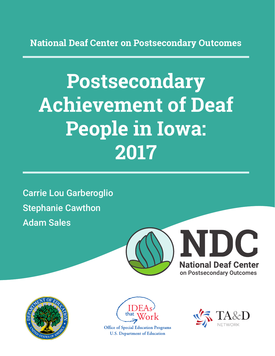**National Deaf Center on Postsecondary Outcomes**

# **Postsecondary Achievement of Deaf People in Iowa: 2017**

Carrie Lou Garberoglio Stephanie Cawthon Adam Sales







**Office of Special Education Programs U.S. Department of Education** 

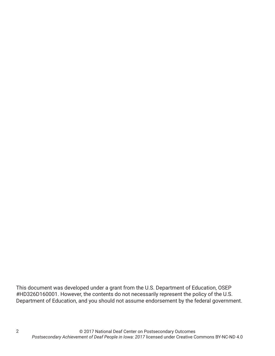This document was developed under a grant from the U.S. Department of Education, OSEP #HD326D160001. However, the contents do not necessarily represent the policy of the U.S. Department of Education, and you should not assume endorsement by the federal government.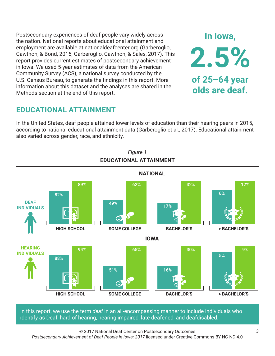Postsecondary experiences of deaf people vary widely across the nation. National reports about educational attainment and employment are available at nationaldeafcenter.org (Garberoglio, Cawthon, & Bond, 2016; Garberoglio, Cawthon, & Sales, 2017). This report provides current estimates of postsecondary achievement in Iowa. We used 5-year estimates of data from the American Community Survey (ACS), a national survey conducted by the U.S. Census Bureau, to generate the findings in this report. More information about this dataset and the analyses are shared in the Methods section at the end of this report.

# **EDUCATIONAL ATTAINMENT**

In the United States, deaf people attained lower levels of education than their hearing peers in 2015, according to national educational attainment data (Garberoglio et al., 2017). Educational attainment also varied across gender, race, and ethnicity.



In this report, we use the term *deaf* in an all-encompassing manner to include individuals who identify as Deaf, hard of hearing, hearing impaired, late deafened, and deafdisabled.

© 2017 National Deaf Center on Postsecondary Outcomes *Postsecondary Achievement of Deaf People in Iowa: 2017* licensed under Creative Commons BY-NC-ND 4.0

**In Iowa,**

**2.5%**

**of 25–64 year**

**olds are deaf.**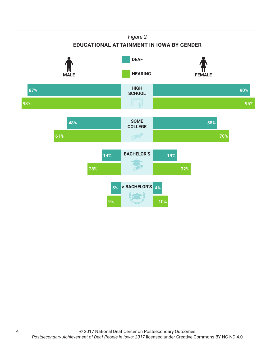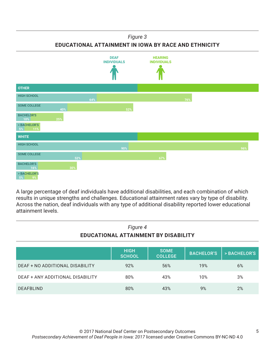## *Figure 3*

**EDUCATIONAL ATTAINMENT IN IOWA BY RACE AND ETHNICITY**



A large percentage of deaf individuals have additional disabilities, and each combination of which results in unique strengths and challenges. Educational attainment rates vary by type of disability. Across the nation, deaf individuals with any type of additional disability reported lower educational attainment levels.

| Figure 4<br><b>EDUCATIONAL ATTAINMENT BY DISABILITY</b> |                              |                               |                   |              |
|---------------------------------------------------------|------------------------------|-------------------------------|-------------------|--------------|
|                                                         | <b>HIGH</b><br><b>SCHOOL</b> | <b>SOME</b><br><b>COLLEGE</b> | <b>BACHELOR'S</b> | > BACHELOR'S |
| DEAF + NO ADDITIONAL DISABILITY                         | 92%                          | 56%                           | 19%               | 6%           |
|                                                         |                              |                               |                   |              |

DEAF + ANY ADDITIONAL DISABILITY 80% 43% 10% 3%

DEAFBLIND 80% 43% 9% 2%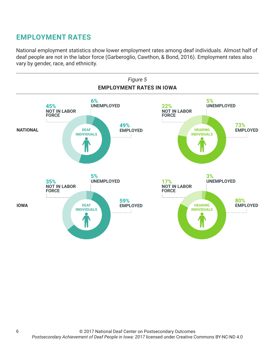# **EMPLOYMENT RATES**

National employment statistics show lower employment rates among deaf individuals. Almost half of deaf people are not in the labor force (Garberoglio, Cawthon, & Bond, 2016). Employment rates also vary by gender, race, and ethnicity.

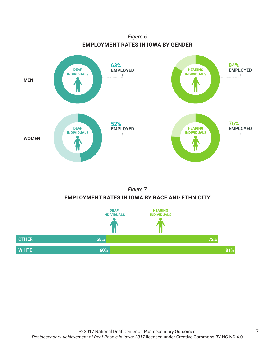

## *Figure 7* **EMPLOYMENT RATES IN IOWA BY RACE AND ETHNICITY**

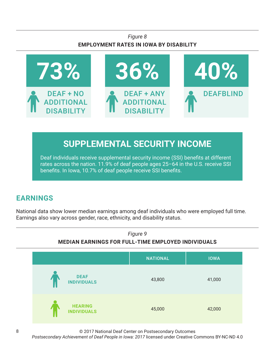## *Figure 8* **EMPLOYMENT RATES IN IOWA BY DISABILITY**



# **SUPPLEMENTAL SECURITY INCOME**

Deaf individuals receive supplemental security income (SSI) benefits at different rates across the nation. 11.9% of deaf people ages 25–64 in the U.S. receive SSI benefits. In Iowa, 10.7% of deaf people receive SSI benefits.

# **EARNINGS**

National data show lower median earnings among deaf individuals who were employed full time. Earnings also vary across gender, race, ethnicity, and disability status.



© 2017 National Deaf Center on Postsecondary Outcomes

*Postsecondary Achievement of Deaf People in Iowa: 2017* licensed under Creative Commons BY-NC-ND 4.0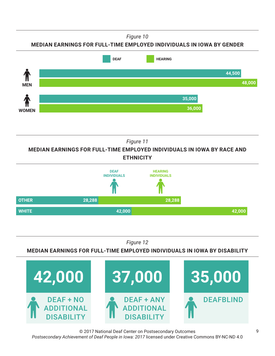*Figure 10*

## **MEDIAN EARNINGS FOR FULL-TIME EMPLOYED INDIVIDUALS IN IOWA BY GENDER**



*Figure 11*

**MEDIAN EARNINGS FOR FULL-TIME EMPLOYED INDIVIDUALS IN IOWA BY RACE AND ETHNICITY**



*Figure 12*

**MEDIAN EARNINGS FOR FULL-TIME EMPLOYED INDIVIDUALS IN IOWA BY DISABILITY**



© 2017 National Deaf Center on Postsecondary Outcomes *Postsecondary Achievement of Deaf People in Iowa: 2017* licensed under Creative Commons BY-NC-ND 4.0